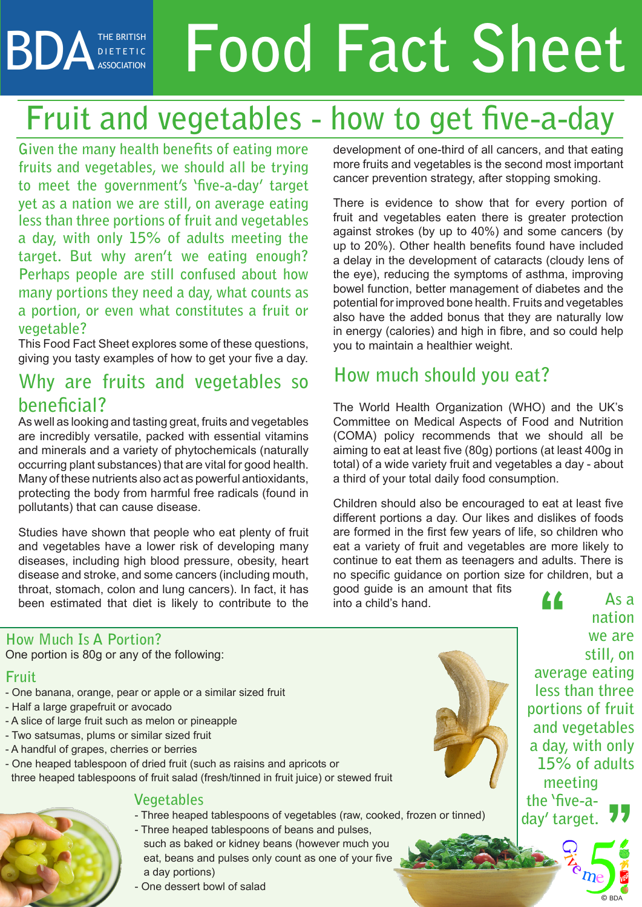## BDA THE BRITISH F **Food Fact Sheet** D I E T E T I C ASSOCIATION

# **Fruit and vegetables - how to get five-a-day**

**Given the many health benefits of eating more fruits and vegetables, we should all be trying to meet the government's 'five-a-day' target yet as a nation we are still, on average eating less than three portions of fruit and vegetables a day, with only 15% of adults meeting the target. But why aren't we eating enough? Perhaps people are still confused about how many portions they need a day, what counts as a portion, or even what constitutes a fruit or vegetable?** 

This Food Fact Sheet explores some of these questions, giving you tasty examples of how to get your five a day.

# **Why are fruits and vegetables so beneficial?**

As well as looking and tasting great, fruits and vegetables are incredibly versatile, packed with essential vitamins and minerals and a variety of phytochemicals (naturally occurring plant substances) that are vital for good health. Many of these nutrients also act as powerful antioxidants, protecting the body from harmful free radicals (found in pollutants) that can cause disease.

Studies have shown that people who eat plenty of fruit and vegetables have a lower risk of developing many diseases, including high blood pressure, obesity, heart disease and stroke, and some cancers (including mouth, throat, stomach, colon and lung cancers). In fact, it has been estimated that diet is likely to contribute to the development of one-third of all cancers, and that eating more fruits and vegetables is the second most important cancer prevention strategy, after stopping smoking.

There is evidence to show that for every portion of fruit and vegetables eaten there is greater protection against strokes (by up to 40%) and some cancers (by up to 20%). Other health benefits found have included a delay in the development of cataracts (cloudy lens of the eye), reducing the symptoms of asthma, improving bowel function, better management of diabetes and the potential for improved bone health. Fruits and vegetables also have the added bonus that they are naturally low in energy (calories) and high in fibre, and so could help you to maintain a healthier weight.

# **How much should you eat?**

The World Health Organization (WHO) and the UK's Committee on Medical Aspects of Food and Nutrition (COMA) policy recommends that we should all be aiming to eat at least five (80g) portions (at least 400g in total) of a wide variety fruit and vegetables a day - about a third of your total daily food consumption.

Children should also be encouraged to eat at least five different portions a day. Our likes and dislikes of foods are formed in the first few years of life, so children who eat a variety of fruit and vegetables are more likely to continue to eat them as teenagers and adults. There is no specific guidance on portion size for children, but a

good guide is an amount that fits into a child's hand.

### **How Much Is A Portion?**

One portion is 80g or any of the following:

### **Fruit**

- One banana, orange, pear or apple or a similar sized fruit
- Half a large grapefruit or avocado
- A slice of large fruit such as melon or pineapple
- Two satsumas, plums or similar sized fruit
- A handful of grapes, cherries or berries
- One heaped tablespoon of dried fruit (such as raisins and apricots or three heaped tablespoons of fruit salad (fresh/tinned in fruit juice) or stewed fruit

### **Vegetables**

- Three heaped tablespoons of vegetables (raw, cooked, frozen or tinned)
- Three heaped tablespoons of beans and pulses, such as baked or kidney beans (however much you eat, beans and pulses only count as one of your five a day portions)
- One dessert bowl of salad



**nation we are still, on average eating less than three portions of fruit and vegetables a day, with only 15% of adults meeting the 'five-aday' target. "**

**As a**